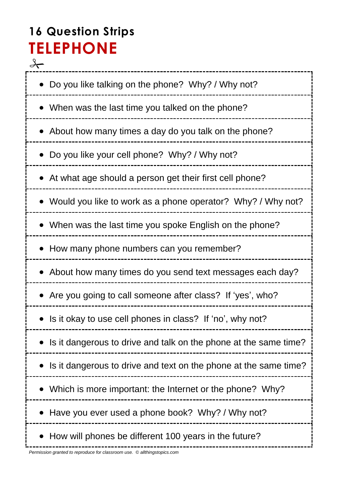# **16 Question Strips TELEPHONE**

 $\frac{q}{\sqrt{q}}$ • Do you like talking on the phone? Why? / Why not? When was the last time you talked on the phone? • About how many times a day do you talk on the phone? Do you like your cell phone? Why? / Why not? At what age should a person get their first cell phone? Would you like to work as a phone operator? Why? / Why not? • When was the last time you spoke English on the phone? • How many phone numbers can you remember? • About how many times do you send text messages each day? Are you going to call someone after class? If 'yes', who? • Is it okay to use cell phones in class? If 'no', why not? • Is it dangerous to drive and talk on the phone at the same time? • Is it dangerous to drive and text on the phone at the same time? Which is more important: the Internet or the phone? Why? • Have you ever used a phone book? Why? / Why not? • How will phones be different 100 years in the future?